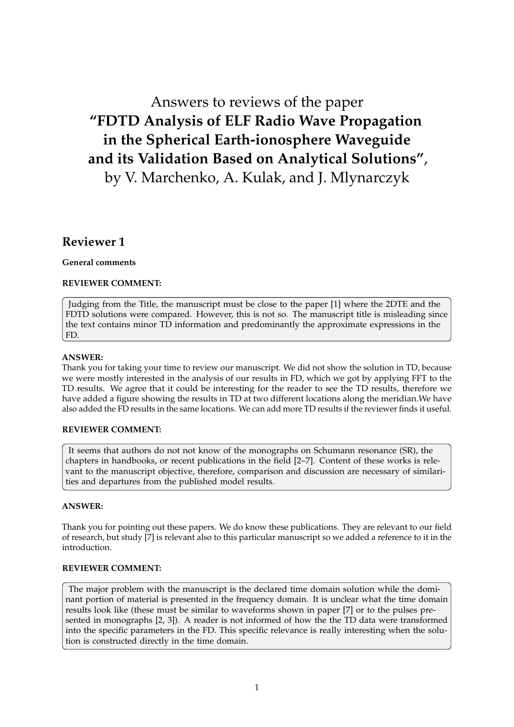# Answers to reviews of the paper **"FDTD Analysis of ELF Radio Wave Propagation in the Spherical Earth-ionosphere Waveguide and its Validation Based on Analytical Solutions"**, by V. Marchenko, A. Kulak, and J. Mlynarczyk

# **Reviewer 1**

# **General comments**

# **REVIEWER COMMENT:**

Judging from the Title, the manuscript must be close to the paper [1] where the 2DTE and the FDTD solutions were compared. However, this is not so. The manuscript title is misleading since the text contains minor TD information and predominantly the approximate expressions in the FD.

# **ANSWER:**

Thank you for taking your time to review our manuscript. We did not show the solution in TD, because we were mostly interested in the analysis of our results in FD, which we got by applying FFT to the TD results. We agree that it could be interesting for the reader to see the TD results, therefore we have added a figure showing the results in TD at two different locations along the meridian.We have also added the FD results in the same locations. We can add more TD results if the reviewer finds it useful.

# **REVIEWER COMMENT:**

It seems that authors do not not know of the monographs on Schumann resonance (SR), the chapters in handbooks, or recent publications in the field [2–7]. Content of these works is relevant to the manuscript objective, therefore, comparison and discussion are necessary of similarities and departures from the published model results.

# **ANSWER:**

Thank you for pointing out these papers. We do know these publications. They are relevant to our field of research, but study [7] is relevant also to this particular manuscript so we added a reference to it in the introduction.

#### **REVIEWER COMMENT:**

The major problem with the manuscript is the declared time domain solution while the dominant portion of material is presented in the frequency domain. It is unclear what the time domain results look like (these must be similar to waveforms shown in paper [7] or to the pulses presented in monographs [2, 3]). A reader is not informed of how the the TD data were transformed into the specific parameters in the FD. This specific relevance is really interesting when the solution is constructed directly in the time domain.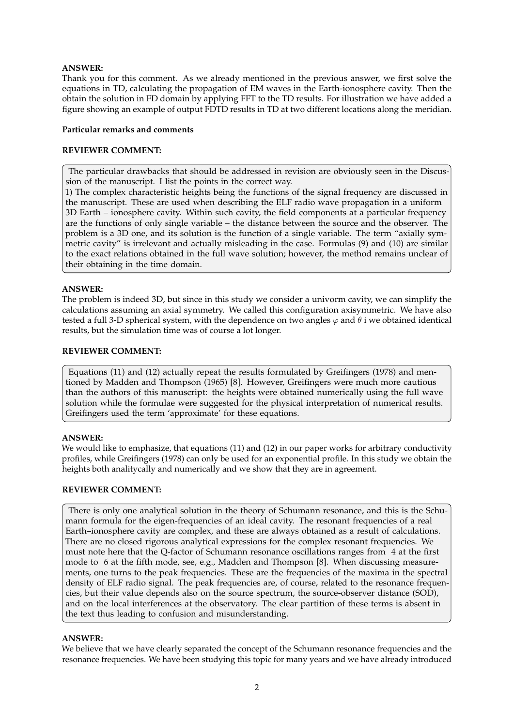# **ANSWER:**

Thank you for this comment. As we already mentioned in the previous answer, we first solve the equations in TD, calculating the propagation of EM waves in the Earth-ionosphere cavity. Then the obtain the solution in FD domain by applying FFT to the TD results. For illustration we have added a figure showing an example of output FDTD results in TD at two different locations along the meridian.

#### **Particular remarks and comments**

# **REVIEWER COMMENT:**

The particular drawbacks that should be addressed in revision are obviously seen in the Discussion of the manuscript. I list the points in the correct way.

1) The complex characteristic heights being the functions of the signal frequency are discussed in the manuscript. These are used when describing the ELF radio wave propagation in a uniform 3D Earth – ionosphere cavity. Within such cavity, the field components at a particular frequency are the functions of only single variable – the distance between the source and the observer. The problem is a 3D one, and its solution is the function of a single variable. The term "axially symmetric cavity" is irrelevant and actually misleading in the case. Formulas (9) and (10) are similar to the exact relations obtained in the full wave solution; however, the method remains unclear of their obtaining in the time domain.

# **ANSWER:**

The problem is indeed 3D, but since in this study we consider a univorm cavity, we can simplify the calculations assuming an axial symmetry. We called this configuration axisymmetric. We have also tested a full 3-D spherical system, with the dependence on two angles  $\varphi$  and  $\theta$  i we obtained identical results, but the simulation time was of course a lot longer.

#### **REVIEWER COMMENT:**

Equations (11) and (12) actually repeat the results formulated by Greifingers (1978) and mentioned by Madden and Thompson (1965) [8]. However, Greifingers were much more cautious than the authors of this manuscript: the heights were obtained numerically using the full wave solution while the formulae were suggested for the physical interpretation of numerical results. Greifingers used the term 'approximate' for these equations.

#### **ANSWER:**

We would like to emphasize, that equations (11) and (12) in our paper works for arbitrary conductivity profiles, while Greifingers (1978) can only be used for an exponential profile. In this study we obtain the heights both analitycally and numerically and we show that they are in agreement.

#### **REVIEWER COMMENT:**

There is only one analytical solution in the theory of Schumann resonance, and this is the Schumann formula for the eigen-frequencies of an ideal cavity. The resonant frequencies of a real Earth–ionosphere cavity are complex, and these are always obtained as a result of calculations. There are no closed rigorous analytical expressions for the complex resonant frequencies. We must note here that the Q-factor of Schumann resonance oscillations ranges from 4 at the first mode to 6 at the fifth mode, see, e.g., Madden and Thompson [8]. When discussing measurements, one turns to the peak frequencies. These are the frequencies of the maxima in the spectral density of ELF radio signal. The peak frequencies are, of course, related to the resonance frequencies, but their value depends also on the source spectrum, the source-observer distance (SOD), and on the local interferences at the observatory. The clear partition of these terms is absent in the text thus leading to confusion and misunderstanding.

#### **ANSWER:**

We believe that we have clearly separated the concept of the Schumann resonance frequencies and the resonance frequencies. We have been studying this topic for many years and we have already introduced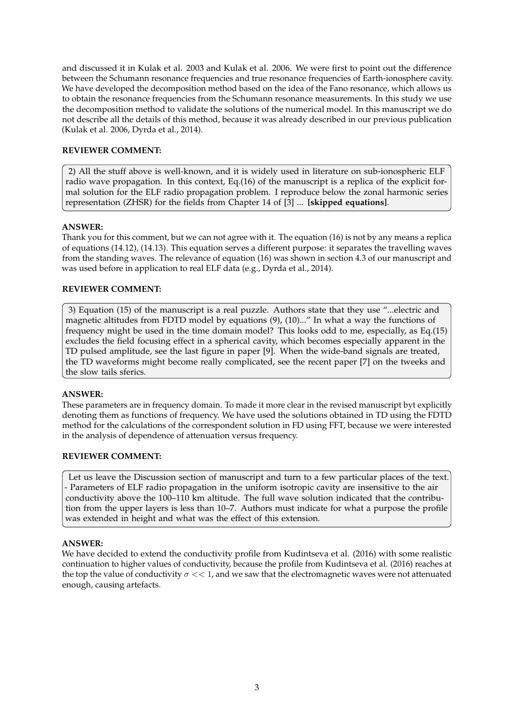and discussed it in Kulak et al. 2003 and Kulak et al. 2006. We were first to point out the difference between the Schumann resonance frequencies and true resonance frequencies of Earth-ionosphere cavity. We have developed the decomposition method based on the idea of the Fano resonance, which allows us to obtain the resonance frequencies from the Schumann resonance measurements. In this study we use the decomposition method to validate the solutions of the numerical model. In this manuscript we do not describe all the details of this method, because it was already described in our previous publication (Kulak et al. 2006, Dyrda et al., 2014).

# **REVIEWER COMMENT:**

2) All the stuff above is well-known, and it is widely used in literature on sub-ionospheric ELF radio wave propagation. In this context, Eq.(16) of the manuscript is a replica of the explicit formal solution for the ELF radio propagation problem. I reproduce below the zonal harmonic series representation (ZHSR) for the fields from Chapter 14 of [3] ... **[skipped equations]**.

# **ANSWER:**

Thank you for this comment, but we can not agree with it. The equation (16) is not by any means a replica of equations (14.12), (14.13). This equation serves a different purpose: it separates the travelling waves from the standing waves. The relevance of equation (16) was shown in section 4.3 of our manuscript and was used before in application to real ELF data (e.g., Dyrda et al., 2014).

# **REVIEWER COMMENT:**

3) Equation (15) of the manuscript is a real puzzle. Authors state that they use "...electric and magnetic altitudes from FDTD model by equations (9), (10)..." In what a way the functions of frequency might be used in the time domain model? This looks odd to me, especially, as Eq.(15) excludes the field focusing effect in a spherical cavity, which becomes especially apparent in the TD pulsed amplitude, see the last figure in paper [9]. When the wide-band signals are treated, the TD waveforms might become really complicated, see the recent paper [7] on the tweeks and the slow tails sferics.

# **ANSWER:**

These parameters are in frequency domain. To made it more clear in the revised manuscript byt explicitly denoting them as functions of frequency. We have used the solutions obtained in TD using the FDTD method for the calculations of the correspondent solution in FD using FFT, because we were interested in the analysis of dependence of attenuation versus frequency.

# **REVIEWER COMMENT:**

Let us leave the Discussion section of manuscript and turn to a few particular places of the text. - Parameters of ELF radio propagation in the uniform isotropic cavity are insensitive to the air conductivity above the 100–110 km altitude. The full wave solution indicated that the contribution from the upper layers is less than 10–7. Authors must indicate for what a purpose the profile was extended in height and what was the effect of this extension.

# **ANSWER:**

We have decided to extend the conductivity profile from Kudintseva et al. (2016) with some realistic continuation to higher values of conductivity, because the profile from Kudintseva et al. (2016) reaches at the top the value of conductivity  $\sigma \ll 1$ , and we saw that the electromagnetic waves were not attenuated enough, causing artefacts.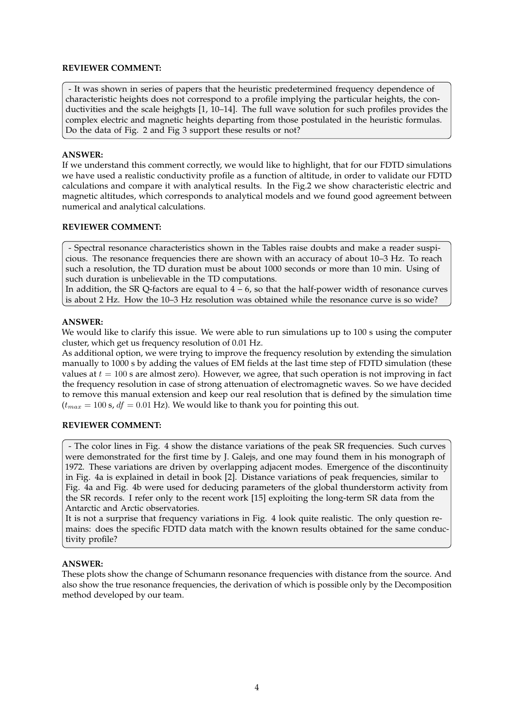# **REVIEWER COMMENT:**

- It was shown in series of papers that the heuristic predetermined frequency dependence of characteristic heights does not correspond to a profile implying the particular heights, the conductivities and the scale heighgts  $[1, 10-14]$ . The full wave solution for such profiles provides the complex electric and magnetic heights departing from those postulated in the heuristic formulas. Do the data of Fig. 2 and Fig 3 support these results or not?

#### **ANSWER:**

If we understand this comment correctly, we would like to highlight, that for our FDTD simulations we have used a realistic conductivity profile as a function of altitude, in order to validate our FDTD calculations and compare it with analytical results. In the Fig.2 we show characteristic electric and magnetic altitudes, which corresponds to analytical models and we found good agreement between numerical and analytical calculations.

# **REVIEWER COMMENT:**

- Spectral resonance characteristics shown in the Tables raise doubts and make a reader suspicious. The resonance frequencies there are shown with an accuracy of about 10–3 Hz. To reach such a resolution, the TD duration must be about 1000 seconds or more than 10 min. Using of such duration is unbelievable in the TD computations.

In addition, the SR Q-factors are equal to  $4 - 6$ , so that the half-power width of resonance curves is about 2 Hz. How the 10–3 Hz resolution was obtained while the resonance curve is so wide?

#### **ANSWER:**

We would like to clarify this issue. We were able to run simulations up to 100 s using the computer cluster, which get us frequency resolution of 0.01 Hz.

As additional option, we were trying to improve the frequency resolution by extending the simulation manually to 1000 s by adding the values of EM fields at the last time step of FDTD simulation (these values at  $t = 100$  s are almost zero). However, we agree, that such operation is not improving in fact the frequency resolution in case of strong attenuation of electromagnetic waves. So we have decided to remove this manual extension and keep our real resolution that is defined by the simulation time  $(t_{max} = 100 \text{ s}, df = 0.01 \text{ Hz})$ . We would like to thank you for pointing this out.

#### **REVIEWER COMMENT:**

- The color lines in Fig. 4 show the distance variations of the peak SR frequencies. Such curves were demonstrated for the first time by J. Galejs, and one may found them in his monograph of 1972. These variations are driven by overlapping adjacent modes. Emergence of the discontinuity in Fig. 4a is explained in detail in book [2]. Distance variations of peak frequencies, similar to Fig. 4a and Fig. 4b were used for deducing parameters of the global thunderstorm activity from the SR records. I refer only to the recent work [15] exploiting the long-term SR data from the Antarctic and Arctic observatories.

It is not a surprise that frequency variations in Fig. 4 look quite realistic. The only question remains: does the specific FDTD data match with the known results obtained for the same conductivity profile?

#### **ANSWER:**

These plots show the change of Schumann resonance frequencies with distance from the source. And also show the true resonance frequencies, the derivation of which is possible only by the Decomposition method developed by our team.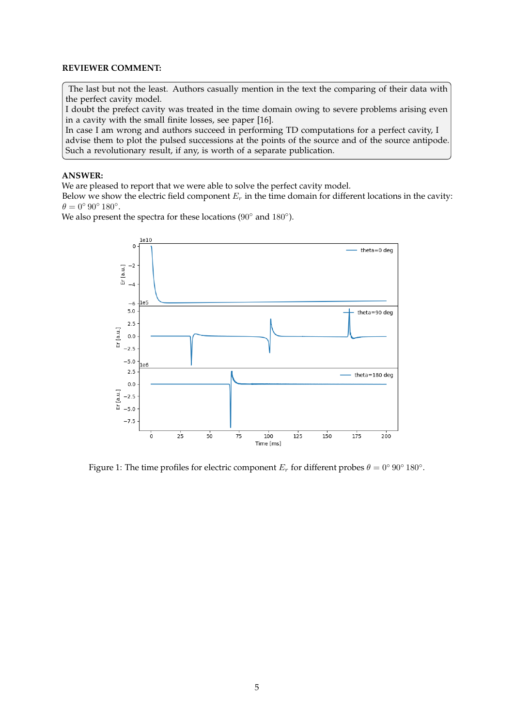#### **REVIEWER COMMENT:**

The last but not the least. Authors casually mention in the text the comparing of their data with the perfect cavity model.

I doubt the prefect cavity was treated in the time domain owing to severe problems arising even in a cavity with the small finite losses, see paper [16].

In case I am wrong and authors succeed in performing TD computations for a perfect cavity, I advise them to plot the pulsed successions at the points of the source and of the source antipode. Such a revolutionary result, if any, is worth of a separate publication.

#### **ANSWER:**

We are pleased to report that we were able to solve the perfect cavity model.

Below we show the electric field component  $E_r$  in the time domain for different locations in the cavity:  $\theta = 0^{\circ} 90^{\circ} 180^{\circ}.$ 

We also present the spectra for these locations ( $90^\circ$  and  $180^\circ$ ).



Figure 1: The time profiles for electric component  $E_r$  for different probes  $\theta = 0^{\circ} 90^{\circ} 180^{\circ}$ .